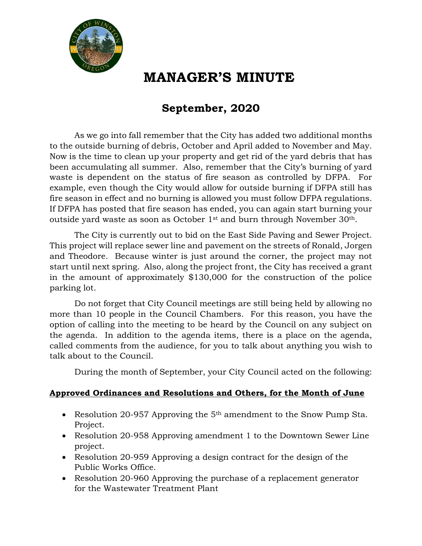

## **MANAGER'S MINUTE**

#### **September, 2020**

As we go into fall remember that the City has added two additional months to the outside burning of debris, October and April added to November and May. Now is the time to clean up your property and get rid of the yard debris that has been accumulating all summer. Also, remember that the City's burning of yard waste is dependent on the status of fire season as controlled by DFPA. For example, even though the City would allow for outside burning if DFPA still has fire season in effect and no burning is allowed you must follow DFPA regulations. If DFPA has posted that fire season has ended, you can again start burning your outside yard waste as soon as October  $1<sup>st</sup>$  and burn through November 30<sup>th</sup>.

The City is currently out to bid on the East Side Paving and Sewer Project. This project will replace sewer line and pavement on the streets of Ronald, Jorgen and Theodore. Because winter is just around the corner, the project may not start until next spring. Also, along the project front, the City has received a grant in the amount of approximately \$130,000 for the construction of the police parking lot.

Do not forget that City Council meetings are still being held by allowing no more than 10 people in the Council Chambers. For this reason, you have the option of calling into the meeting to be heard by the Council on any subject on the agenda. In addition to the agenda items, there is a place on the agenda, called comments from the audience, for you to talk about anything you wish to talk about to the Council.

During the month of September, your City Council acted on the following:

#### **Approved Ordinances and Resolutions and Others, for the Month of June**

- Resolution 20-957 Approving the 5<sup>th</sup> amendment to the Snow Pump Sta. Project.
- Resolution 20-958 Approving amendment 1 to the Downtown Sewer Line project.
- Resolution 20-959 Approving a design contract for the design of the Public Works Office.
- Resolution 20-960 Approving the purchase of a replacement generator for the Wastewater Treatment Plant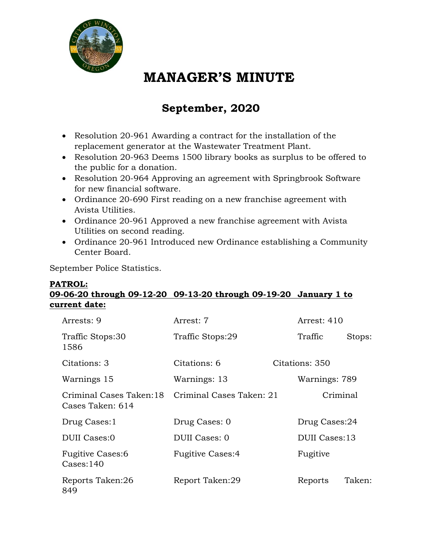

## **MANAGER'S MINUTE**

## **September, 2020**

- Resolution 20-961 Awarding a contract for the installation of the replacement generator at the Wastewater Treatment Plant.
- Resolution 20-963 Deems 1500 library books as surplus to be offered to the public for a donation.
- Resolution 20-964 Approving an agreement with Springbrook Software for new financial software.
- Ordinance 20-690 First reading on a new franchise agreement with Avista Utilities.
- Ordinance 20-961 Approved a new franchise agreement with Avista Utilities on second reading.
- Ordinance 20-961 Introduced new Ordinance establishing a Community Center Board.

September Police Statistics.

#### **PATROL: 09-06-20 through 09-12-20 09-13-20 through 09-19-20 January 1 to current date:**

| Arrests: 9                                    | Arrest: 7                | Arrest: 410    |        |
|-----------------------------------------------|--------------------------|----------------|--------|
| Traffic Stops:30<br>1586                      | Traffic Stops:29         | Traffic        | Stops: |
| Citations: 3                                  | Citations: 6             | Citations: 350 |        |
| Warnings 15                                   | Warnings: 13             | Warnings: 789  |        |
| Criminal Cases Taken:18<br>Cases Taken: 614   | Criminal Cases Taken: 21 | Criminal       |        |
| Drug Cases: 1                                 | Drug Cases: 0            | Drug Cases:24  |        |
| <b>DUII</b> Cases:0                           | DUII Cases: 0            | DUII Cases:13  |        |
| <b>Fugitive Cases:6</b><br>$\text{Cases}:140$ | <b>Fugitive Cases:4</b>  | Fugitive       |        |
| Reports Taken:26<br>849                       | Report Taken:29          | Reports        | Taken: |